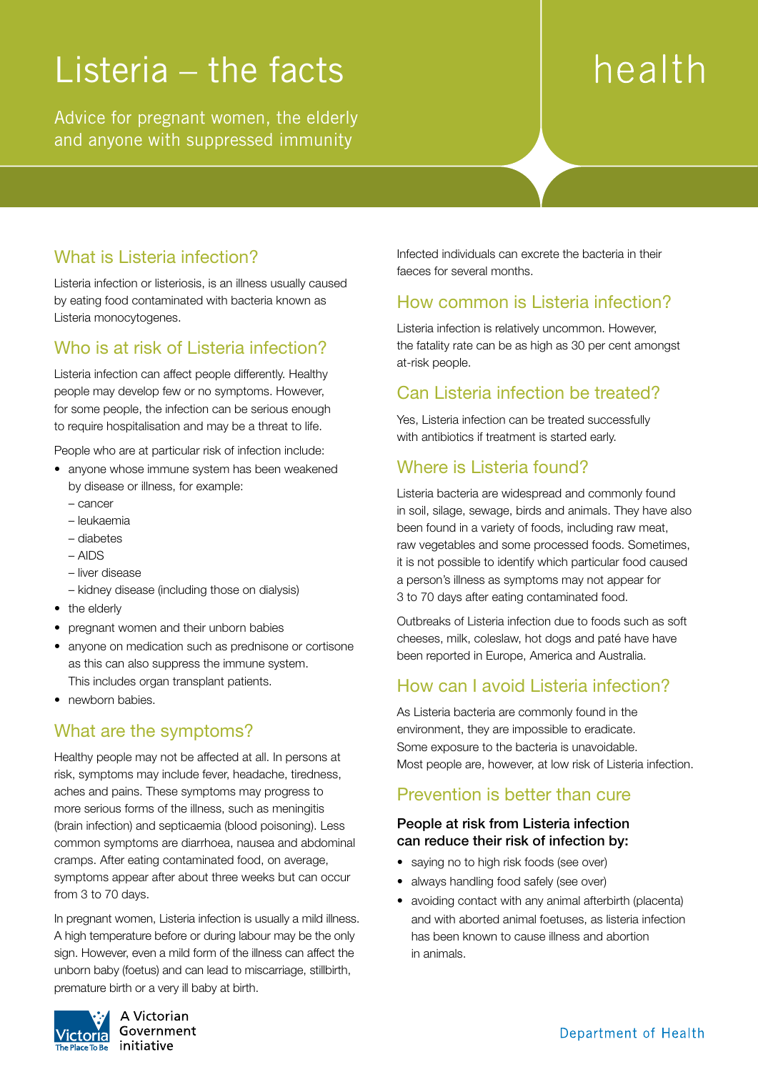## Listeria – the facts

Advice for pregnant women, the elderly and anyone with suppressed immunity

# health

## What is Listeria infection?

Listeria infection or listeriosis, is an illness usually caused by eating food contaminated with bacteria known as Listeria monocytogenes.

## Who is at risk of Listeria infection?

Listeria infection can affect people differently. Healthy people may develop few or no symptoms. However, for some people, the infection can be serious enough to require hospitalisation and may be a threat to life.

People who are at particular risk of infection include:

- anyone whose immune system has been weakened by disease or illness, for example:
	- cancer
	- leukaemia
	- diabetes
	- AIDS
	- liver disease
	- kidney disease (including those on dialysis)
- the elderly
- pregnant women and their unborn babies
- anyone on medication such as prednisone or cortisone as this can also suppress the immune system. This includes organ transplant patients.
- newborn babies.

## What are the symptoms?

Healthy people may not be affected at all. In persons at risk, symptoms may include fever, headache, tiredness, aches and pains. These symptoms may progress to more serious forms of the illness, such as meningitis (brain infection) and septicaemia (blood poisoning). Less common symptoms are diarrhoea, nausea and abdominal cramps. After eating contaminated food, on average, symptoms appear after about three weeks but can occur from 3 to 70 days.

In pregnant women, Listeria infection is usually a mild illness. A high temperature before or during labour may be the only sign. However, even a mild form of the illness can affect the unborn baby (foetus) and can lead to miscarriage, stillbirth, premature birth or a very ill baby at birth.



A Victorian Government initiative

Infected individuals can excrete the bacteria in their faeces for several months.

#### How common is Listeria infection?

Listeria infection is relatively uncommon. However, the fatality rate can be as high as 30 per cent amongst at-risk people.

#### Can Listeria infection be treated?

Yes, Listeria infection can be treated successfully with antibiotics if treatment is started early.

#### Where is Listeria found?

Listeria bacteria are widespread and commonly found in soil, silage, sewage, birds and animals. They have also been found in a variety of foods, including raw meat, raw vegetables and some processed foods. Sometimes, it is not possible to identify which particular food caused a person's illness as symptoms may not appear for 3 to 70 days after eating contaminated food.

Outbreaks of Listeria infection due to foods such as soft cheeses, milk, coleslaw, hot dogs and paté have have been reported in Europe, America and Australia.

#### How can I avoid Listeria infection?

As Listeria bacteria are commonly found in the environment, they are impossible to eradicate. Some exposure to the bacteria is unavoidable. Most people are, however, at low risk of Listeria infection.

#### Prevention is better than cure

#### People at risk from Listeria infection can reduce their risk of infection by:

- saying no to high risk foods (see over)
- always handling food safely (see over)
- avoiding contact with any animal afterbirth (placenta) and with aborted animal foetuses, as listeria infection has been known to cause illness and abortion in animals.